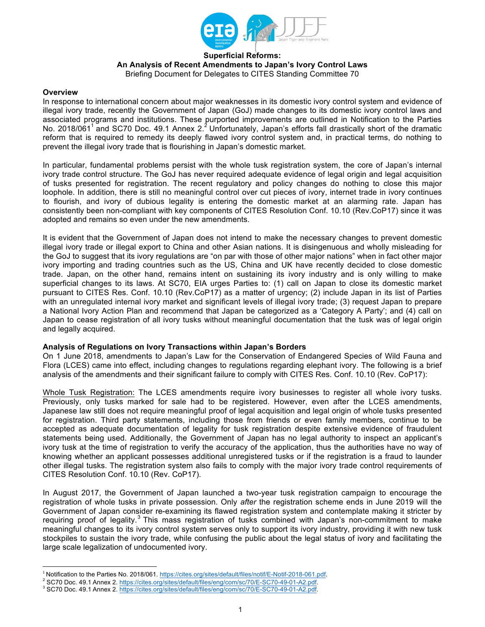

#### **Superficial Reforms: An Analysis of Recent Amendments to Japan's Ivory Control Laws** Briefing Document for Delegates to CITES Standing Committee 70

#### **Overview**

In response to international concern about major weaknesses in its domestic ivory control system and evidence of illegal ivory trade, recently the Government of Japan (GoJ) made changes to its domestic ivory control laws and associated programs and institutions. These purported improvements are outlined in Notification to the Parties No. 2018/061<sup>1</sup> and SC70 Doc. 49.1 Annex 2.<sup>2</sup> Unfortunately, Japan's efforts fall drastically short of the dramatic reform that is required to remedy its deeply flawed ivory control system and, in practical terms, do nothing to prevent the illegal ivory trade that is flourishing in Japan's domestic market.

In particular, fundamental problems persist with the whole tusk registration system, the core of Japan's internal ivory trade control structure. The GoJ has never required adequate evidence of legal origin and legal acquisition of tusks presented for registration. The recent regulatory and policy changes do nothing to close this major loophole. In addition, there is still no meaningful control over cut pieces of ivory, internet trade in ivory continues to flourish, and ivory of dubious legality is entering the domestic market at an alarming rate. Japan has consistently been non-compliant with key components of CITES Resolution Conf. 10.10 (Rev.CoP17) since it was adopted and remains so even under the new amendments.

It is evident that the Government of Japan does not intend to make the necessary changes to prevent domestic illegal ivory trade or illegal export to China and other Asian nations. It is disingenuous and wholly misleading for the GoJ to suggest that its ivory regulations are "on par with those of other major nations" when in fact other major ivory importing and trading countries such as the US, China and UK have recently decided to close domestic trade. Japan, on the other hand, remains intent on sustaining its ivory industry and is only willing to make superficial changes to its laws. At SC70, EIA urges Parties to: (1) call on Japan to close its domestic market pursuant to CITES Res. Conf. 10.10 (Rev.CoP17) as a matter of urgency; (2) include Japan in its list of Parties with an unregulated internal ivory market and significant levels of illegal ivory trade; (3) request Japan to prepare a National Ivory Action Plan and recommend that Japan be categorized as a 'Category A Party'; and (4) call on Japan to cease registration of all ivory tusks without meaningful documentation that the tusk was of legal origin and legally acquired.

## **Analysis of Regulations on Ivory Transactions within Japan's Borders**

On 1 June 2018, amendments to Japan's Law for the Conservation of Endangered Species of Wild Fauna and Flora (LCES) came into effect, including changes to regulations regarding elephant ivory. The following is a brief analysis of the amendments and their significant failure to comply with CITES Res. Conf. 10.10 (Rev. CoP17):

Whole Tusk Registration: The LCES amendments require ivory businesses to register all whole ivory tusks. Previously, only tusks marked for sale had to be registered. However, even after the LCES amendments, Japanese law still does not require meaningful proof of legal acquisition and legal origin of whole tusks presented for registration. Third party statements, including those from friends or even family members, continue to be accepted as adequate documentation of legality for tusk registration despite extensive evidence of fraudulent statements being used. Additionally, the Government of Japan has no legal authority to inspect an applicant's ivory tusk at the time of registration to verify the accuracy of the application, thus the authorities have no way of knowing whether an applicant possesses additional unregistered tusks or if the registration is a fraud to launder other illegal tusks. The registration system also fails to comply with the major ivory trade control requirements of CITES Resolution Conf. 10.10 (Rev. CoP17).

In August 2017, the Government of Japan launched a two-year tusk registration campaign to encourage the registration of whole tusks in private possession. Only *after* the registration scheme ends in June 2019 will the Government of Japan consider re-examining its flawed registration system and contemplate making it stricter by requiring proof of legality.<sup>3</sup> This mass registration of tusks combined with Japan's non-commitment to make meaningful changes to its ivory control system serves only to support its ivory industry, providing it with new tusk stockpiles to sustain the ivory trade, while confusing the public about the legal status of ivory and facilitating the large scale legalization of undocumented ivory.

<sup>1</sup> Notification to the Parties No. 2018/061. https://cites.org/sites/default/files/notif/E-Notif-2018-061.pdf.

<sup>&</sup>lt;sup>2</sup> SC70 Doc. 49.1 Annex 2. https://cites.org/sites/default/files/eng/com/sc/70/E-SC70-49-01-A2.pdf.<br><sup>3</sup> SC70 Doc. 49.1 Annex 2. https://cites.org/sites/default/files/eng/com/sc/70/E-SC70-49-01-A2.pdf.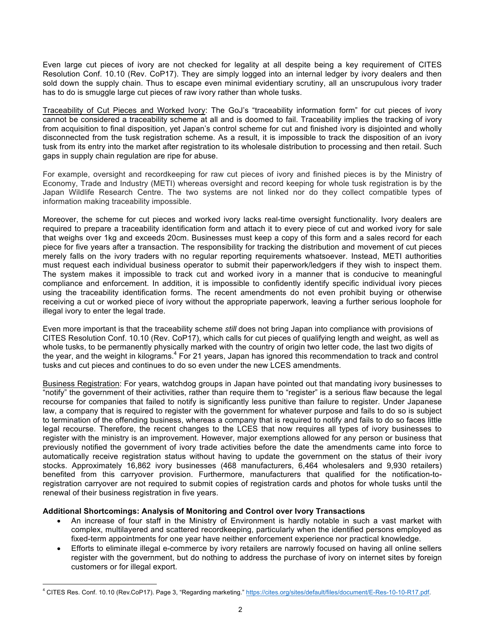Even large cut pieces of ivory are not checked for legality at all despite being a key requirement of CITES Resolution Conf. 10.10 (Rev. CoP17). They are simply logged into an internal ledger by ivory dealers and then sold down the supply chain. Thus to escape even minimal evidentiary scrutiny, all an unscrupulous ivory trader has to do is smuggle large cut pieces of raw ivory rather than whole tusks.

Traceability of Cut Pieces and Worked Ivory: The GoJ's "traceability information form" for cut pieces of ivory cannot be considered a traceability scheme at all and is doomed to fail. Traceability implies the tracking of ivory from acquisition to final disposition, yet Japan's control scheme for cut and finished ivory is disjointed and wholly disconnected from the tusk registration scheme. As a result, it is impossible to track the disposition of an ivory tusk from its entry into the market after registration to its wholesale distribution to processing and then retail. Such gaps in supply chain regulation are ripe for abuse.

For example, oversight and recordkeeping for raw cut pieces of ivory and finished pieces is by the Ministry of Economy, Trade and Industry (METI) whereas oversight and record keeping for whole tusk registration is by the Japan Wildlife Research Centre. The two systems are not linked nor do they collect compatible types of information making traceability impossible.

Moreover, the scheme for cut pieces and worked ivory lacks real-time oversight functionality. Ivory dealers are required to prepare a traceability identification form and attach it to every piece of cut and worked ivory for sale that weighs over 1kg and exceeds 20cm. Businesses must keep a copy of this form and a sales record for each piece for five years after a transaction. The responsibility for tracking the distribution and movement of cut pieces merely falls on the ivory traders with no regular reporting requirements whatsoever. Instead, METI authorities must request each individual business operator to submit their paperwork/ledgers if they wish to inspect them. The system makes it impossible to track cut and worked ivory in a manner that is conducive to meaningful compliance and enforcement. In addition, it is impossible to confidently identify specific individual ivory pieces using the traceability identification forms. The recent amendments do not even prohibit buying or otherwise receiving a cut or worked piece of ivory without the appropriate paperwork, leaving a further serious loophole for illegal ivory to enter the legal trade.

Even more important is that the traceability scheme *still* does not bring Japan into compliance with provisions of CITES Resolution Conf. 10.10 (Rev. CoP17), which calls for cut pieces of qualifying length and weight, as well as whole tusks, to be permanently physically marked with the country of origin two letter code, the last two digits of the year, and the weight in kilograms.<sup>4</sup> For 21 years, Japan has ignored this recommendation to track and control tusks and cut pieces and continues to do so even under the new LCES amendments.

Business Registration: For years, watchdog groups in Japan have pointed out that mandating ivory businesses to "notify" the government of their activities, rather than require them to "register" is a serious flaw because the legal recourse for companies that failed to notify is significantly less punitive than failure to register. Under Japanese law, a company that is required to register with the government for whatever purpose and fails to do so is subject to termination of the offending business, whereas a company that is required to notify and fails to do so faces little legal recourse. Therefore, the recent changes to the LCES that now requires all types of ivory businesses to register with the ministry is an improvement. However, major exemptions allowed for any person or business that previously notified the government of ivory trade activities before the date the amendments came into force to automatically receive registration status without having to update the government on the status of their ivory stocks. Approximately 16,862 ivory businesses (468 manufacturers, 6,464 wholesalers and 9,930 retailers) benefited from this carryover provision. Furthermore, manufacturers that qualified for the notification-toregistration carryover are not required to submit copies of registration cards and photos for whole tusks until the renewal of their business registration in five years.

## **Additional Shortcomings: Analysis of Monitoring and Control over Ivory Transactions**

 $\overline{a}$ 

- An increase of four staff in the Ministry of Environment is hardly notable in such a vast market with complex, multilayered and scattered recordkeeping, particularly when the identified persons employed as fixed-term appointments for one year have neither enforcement experience nor practical knowledge.
- Efforts to eliminate illegal e-commerce by ivory retailers are narrowly focused on having all online sellers register with the government, but do nothing to address the purchase of ivory on internet sites by foreign customers or for illegal export.

<sup>4</sup> CITES Res. Conf. 10.10 (Rev.CoP17). Page 3, "Regarding marketing." https://cites.org/sites/default/files/document/E-Res-10-10-R17.pdf.